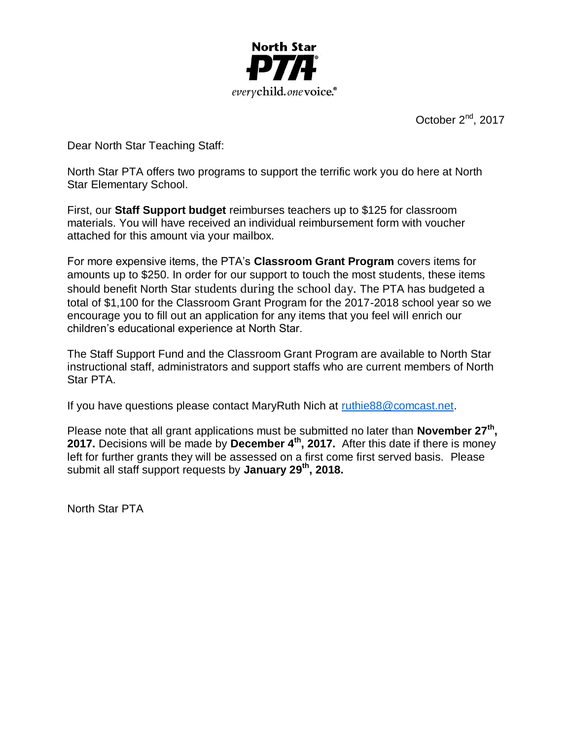

October  $2^{nd}$ , 2017

Dear North Star Teaching Staff:

North Star PTA offers two programs to support the terrific work you do here at North Star Elementary School.

First, our **Staff Support budget** reimburses teachers up to \$125 for classroom materials. You will have received an individual reimbursement form with voucher attached for this amount via your mailbox.

For more expensive items, the PTA's **Classroom Grant Program** covers items for amounts up to \$250. In order for our support to touch the most students, these items should benefit North Star students during the school day. The PTA has budgeted a total of \$1,100 for the Classroom Grant Program for the 2017-2018 school year so we encourage you to fill out an application for any items that you feel will enrich our children's educational experience at North Star.

The Staff Support Fund and the Classroom Grant Program are available to North Star instructional staff, administrators and support staffs who are current members of North Star PTA.

If you have questions please contact MaryRuth Nich at [ruthie88@comcast.net.](mailto:ruthie88@comcast.net)

Please note that all grant applications must be submitted no later than **November 27th , 2017.** Decisions will be made by **December 4th, 2017.** After this date if there is money left for further grants they will be assessed on a first come first served basis. Please submit all staff support requests by **January 29th , 2018.**

North Star PTA